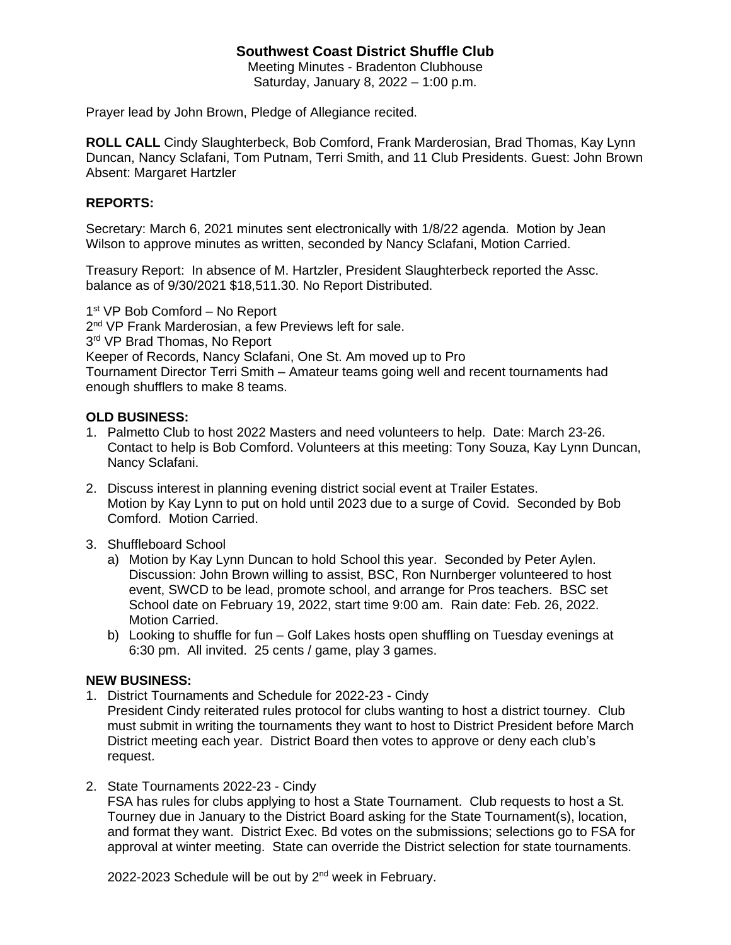# **Southwest Coast District Shuffle Club**

Meeting Minutes - Bradenton Clubhouse Saturday, January 8, 2022 – 1:00 p.m.

Prayer lead by John Brown, Pledge of Allegiance recited.

**ROLL CALL** Cindy Slaughterbeck, Bob Comford, Frank Marderosian, Brad Thomas, Kay Lynn Duncan, Nancy Sclafani, Tom Putnam, Terri Smith, and 11 Club Presidents. Guest: John Brown Absent: Margaret Hartzler

## **REPORTS:**

Secretary: March 6, 2021 minutes sent electronically with 1/8/22 agenda. Motion by Jean Wilson to approve minutes as written, seconded by Nancy Sclafani, Motion Carried.

Treasury Report: In absence of M. Hartzler, President Slaughterbeck reported the Assc. balance as of 9/30/2021 \$18,511.30. No Report Distributed.

1st VP Bob Comford - No Report

2<sup>nd</sup> VP Frank Marderosian, a few Previews left for sale.

3<sup>rd</sup> VP Brad Thomas, No Report

Keeper of Records, Nancy Sclafani, One St. Am moved up to Pro

Tournament Director Terri Smith – Amateur teams going well and recent tournaments had enough shufflers to make 8 teams.

### **OLD BUSINESS:**

- 1. Palmetto Club to host 2022 Masters and need volunteers to help. Date: March 23-26. Contact to help is Bob Comford. Volunteers at this meeting: Tony Souza, Kay Lynn Duncan, Nancy Sclafani.
- 2. Discuss interest in planning evening district social event at Trailer Estates. Motion by Kay Lynn to put on hold until 2023 due to a surge of Covid. Seconded by Bob Comford. Motion Carried.
- 3. Shuffleboard School
	- a) Motion by Kay Lynn Duncan to hold School this year. Seconded by Peter Aylen. Discussion: John Brown willing to assist, BSC, Ron Nurnberger volunteered to host event, SWCD to be lead, promote school, and arrange for Pros teachers. BSC set School date on February 19, 2022, start time 9:00 am. Rain date: Feb. 26, 2022. Motion Carried.
	- b) Looking to shuffle for fun Golf Lakes hosts open shuffling on Tuesday evenings at 6:30 pm. All invited. 25 cents / game, play 3 games.

#### **NEW BUSINESS:**

- 1. District Tournaments and Schedule for 2022-23 Cindy President Cindy reiterated rules protocol for clubs wanting to host a district tourney. Club must submit in writing the tournaments they want to host to District President before March District meeting each year. District Board then votes to approve or deny each club's request.
- 2. State Tournaments 2022-23 Cindy

FSA has rules for clubs applying to host a State Tournament. Club requests to host a St. Tourney due in January to the District Board asking for the State Tournament(s), location, and format they want. District Exec. Bd votes on the submissions; selections go to FSA for approval at winter meeting. State can override the District selection for state tournaments.

2022-2023 Schedule will be out by  $2^{nd}$  week in February.